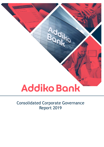# Addiko Bank

# Consolidated Corporate Governance Report 2019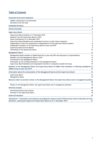# **Table of Contents**

| <b>Corporate Governance Statement</b>                                                                            | 4              |
|------------------------------------------------------------------------------------------------------------------|----------------|
| Addiko's Declaration of Commitment                                                                               | 4              |
| Deviations from the Code                                                                                         | 4              |
| <b>Corporate Structure</b>                                                                                       | 5              |
| <b>General Assembly</b>                                                                                          | 6              |
| <b>Supervisory Board</b>                                                                                         | $\overline{7}$ |
| Supervisory Board members at 31 December 2019                                                                    | $\overline{7}$ |
| Members who left Supervisory Board in 2019                                                                       | $\overline{7}$ |
| State Commissioner at 31 December 2019                                                                           | $\overline{7}$ |
| Supervisory Board Mandates and comparable functions at other listed companies                                    | $\overline{7}$ |
| Independence Criteria for Assessment of Independence of the Supervisory Board members                            | 8              |
| Independent members of the Supervisory Board at year-end 2019                                                    | 8              |
| Supervisory Board Activity Report                                                                                | 9              |
| Committees of the Supervisory Board                                                                              | 10             |
| <b>Management Board</b>                                                                                          | 13             |
| Management Board members of Addiko Bank AG at year-end 2019 and allocation of responsibilities                   | 13             |
| Members who left Management Board in 2019                                                                        | 14             |
| Committees of the Management Board                                                                               | 14             |
| Information on the working procedures of the Management Board                                                    | 15             |
| Supervisory Board Mandates and Comparable Functions in companies outside the Group                               | 15             |
| Members of the Management Board and Supervisory Board of Addiko held mandates in following subsidiaries of       |                |
| Addiko Group at year-end 2019                                                                                    | 15             |
| Information about the remuneration of the Management Board and the Supervisory Board                             | 16             |
| Supervisory Board                                                                                                | 16             |
| Management Board                                                                                                 | 16             |
| Measures taken to promote women on the Management Board, the Supervisory Board and in management positions       |                |
|                                                                                                                  | 18             |
| Women in the Management Board, the Supervisory Board and in management positions                                 | 18             |
| <b>Diversity Concept</b>                                                                                         | 18             |
| Promoting Diversity and Inclusion                                                                                | 18             |
| Diversity in the Supervisory Board                                                                               | 18             |
| <b>External Evaluation</b>                                                                                       | 19             |
| Attachment 1: Transactions and measures exceeding the scope of section 95(5) Austrian Stock Corporation Act and, |                |
| therefore, requiring the approval of Supervisory Board as of 31 December 2019                                    | 21             |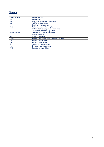# **Glossary**

| Addiko or Bank | Addiko Bank AG                                      |
|----------------|-----------------------------------------------------|
| <b>ABG</b>     | <b>Addiko Group</b>                                 |
| <b>AktG</b>    | Aktiengesetz (Stock Corporation Act)                |
| <b>AML</b>     | Anti Money Laundering                               |
| BiH            | Bosnia and Hercegovina                              |
| <b>BWG</b>     | Bankwesengesetz (Banking Act)                       |
| Code           | Austrian Code of Corporate Governance               |
| <b>CRR</b>     | <b>Capital Requirements Regulation</b>              |
| D&O Insurance  | Directors-and-Officers Insurance                    |
| <b>FX</b>      | Foreign Exchange                                    |
| GoB            | <b>Group of Borrowers</b>                           |
| <b>ICAAP</b>   | <b>Internal Capital Adequacy Assessment Process</b> |
| <b>ICS</b>     | <b>Internal Control System</b>                      |
| <b>ICV</b>     | Internal collateral value                           |
| <b>NPE</b>     | Non-performing exposure                             |
| oGA            | <b>Ordinary General Assembly</b>                    |
| <b>OPEX</b>    | Operational expenditure                             |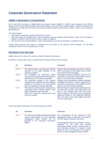# <span id="page-3-0"></span>**Corporate Governance Statement**

### <span id="page-3-1"></span>**Addiko's Declaration of Commitment**

On 12 July 2019, the shares of Addiko Bank AG (hereafter called "Addiko" or "Bank") were admitted to the Official Market of the Vienna Stock Exchange and started trading in the ATX Prime market segment. Addiko has declared its commitment to comply with the rules of the Austrian Code of Corporate Governance ("Code", https://www.corporategovernance.at).

The Code contains:

- rules based on compulsory legal requirements (L rules);
- rules that should be complied with, where deviations must be explained and justified in order for the company's conduct to conform with the Code (C rules, comply or explain);
- and rules that are recommendations, where noncompliance must not be disclosed or justified (R rules).

Certain legal provisions only apply to companies that are listed on the Austrian stock exchange. For non-listed companies, these are to be interpreted as C rules.

### <span id="page-3-2"></span>**Deviations from the Code**

Addiko observes the rules of the Austrian Code of Corporate Governance.

Deviations in below table refer to a period before listing at Vienna Stock Exchange:

| <b>No</b> | <b>Deviations</b>                                                                                                                                                                         | Comments                                                                                                                                                                                                                                                                                                                 |
|-----------|-------------------------------------------------------------------------------------------------------------------------------------------------------------------------------------------|--------------------------------------------------------------------------------------------------------------------------------------------------------------------------------------------------------------------------------------------------------------------------------------------------------------------------|
| $L(C)-4$  | The announcement convening the General<br>Assembly is not made available on the<br>company's website                                                                                      | Ordinary General Assembly was held on 1 March<br>2019. At this point of time Addiko was not listed<br>at the Vienna Stock Exchange.                                                                                                                                                                                      |
| $L(C)-5$  | The candidates for Supervisory<br><b>Board</b><br>elections are not disclosed on the company's<br>website prior to the General Assembly                                                   | Extraordinary General Assembly was held on 6<br>June 2019. At this point of time Addiko was not<br>listed at the Vienna Stock Exchange.                                                                                                                                                                                  |
| $L(C)-6$  | The resolutions passed at the General<br>Assembly are not disclosed on the company's<br>website at the latest on the 2nd workday<br>after the meeting of General Assembly.                | Ordinary and Extraordinary General Assembly<br>of Addiko were held on 1 March, respectively 6<br>June 2019. At this point of time Addiko was not<br>listed at the Vienna Stock Exchange.                                                                                                                                 |
| $C-12$    | The materials and documents required for a<br>supervisory board meeting haven't been<br>made available at least one week<br>before the respective meeting with each<br>and every session. | Before listing the respective documentation has<br>not been sent at least seven days before the<br>date of the meeting with each and every<br>session. Delays in this matter were accepted by<br>Supervisory Board in the respective meeting.<br>After the date of the listing Addiko generally<br>met this requirement. |

Further deviations referring to the entire business year 2019:

| <b>Deviations</b><br><b>No</b>                                                                                                                                                          | <b>Comments</b>                                                                                                                                                                                                                                                                                                                                                                                                     |
|-----------------------------------------------------------------------------------------------------------------------------------------------------------------------------------------|---------------------------------------------------------------------------------------------------------------------------------------------------------------------------------------------------------------------------------------------------------------------------------------------------------------------------------------------------------------------------------------------------------------------|
| $C - 31$<br>The fixed and variable performance-linked<br>annual remunerations of each individual<br>management board member are not<br>disclosed in the Corporate Governance<br>Report. | The remuneration of the members of the<br>Management Board is disclosed in accordance<br>with the legally mandatory provisions.<br>The Management Board has decided to omit a<br>disclosure of the fixed<br>and variable<br>performance-linked annual remunerations of<br>each individual member for reasons of data<br>protection and in consideration of the right of<br>privacy of each Management Board member. |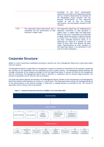|        |                                                                                                                    | According<br>the<br>strict<br>remuneration<br>to<br>regulations according to the applicable banking<br>law any variable remuneration for members of<br>the Management Board complies with the<br>personal achievements of the respective<br>member as well as with the earnings<br>performance, risk and liquidity situation of the<br>company.                                                                                                                                                                                                                                 |
|--------|--------------------------------------------------------------------------------------------------------------------|---------------------------------------------------------------------------------------------------------------------------------------------------------------------------------------------------------------------------------------------------------------------------------------------------------------------------------------------------------------------------------------------------------------------------------------------------------------------------------------------------------------------------------------------------------------------------------|
| $C-39$ | The supervisory board shall ensure that a<br>committee has the authorisation to take<br>decisions in urgent cases. | The Supervisory Board has not implemented a<br>dedicated committee to take decisions in<br>urgent cases. In urgent cases the Supervisory<br>Board as well as its committees are authorized<br>to adopt resolutions outside of regular meetings<br>in written form, for instance via email, fax or<br>any other verifiable electronic means, if no<br>objections are raised by a member (at least<br>within 24 hours after such decision has been<br>made). Representation by other members of<br>the Supervisory Board is not permitted in the<br>case of circular resolutions. |

# <span id="page-4-0"></span>**Corporate Structure**

Addiko is a stock corporation established according to Austrian law with a Management Board and a Supervisory Board (two-tier-system).

The Management Board is responsible for managing the company as required for the benefit of the company considering the interests of the shareholder and the employees as well as public interest. The Management Board develops the strategic orientation of the company and aligns it with the Supervisory Board. It ensures an effective risk management and risk controlling. The Management Board takes it decisions in compliance with all relevant legal provisions, the articles of association and its internal rules of procedure.

The Supervisory Board appoints the members of the Management Board, decides on the remuneration of the Management Board and monitors and evaluates its activity on a yearly basis. The Supervisory Board advises the Management Board on the determination of the business strategy. It takes part in making decisions as provided by law, the articles of association and its internal rules of procedure.



**Figure 1 – Corporate Governance Structure of Addiko as of 31 December 2019**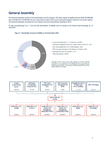# <span id="page-5-0"></span>**General Assembly**

The General Assembly consists of the shareholders of the company. The share capital of Addiko amounts EUR 195,000,000 and is divided into 19,500.000 non-par value bearer shares which carry equal participation interest in the share capital. The General Assembly convened for one ordinary and one extraordinary meeting in 2019.

AI Lake (Luxembourg) S.à r.l. was the sole shareholder of Addiko until its listing at the Vienna Stock Exchange on 12 July 2019.

**Figure 2 – Shareholder structure of Addiko as of 31 December 2019**





Illustration based on most recent major holdings and directors dealings<br>notifications as of 13 December 2019 (Holdings below 4% of the shares are<br>presented in a summarized form, next to holdings by the Management Board and the Supervisory Board). The information provided is based on sources that Addiko considers to be reliable.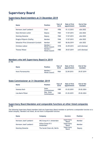# <span id="page-6-0"></span>**Supervisory Board**

## <span id="page-6-1"></span>**Supervisory Board members at 31 December 2019**

[C-58]

| <b>Name</b>                         | <b>Position</b>                  | Year of<br>birth | Date of first<br>appointment | End of the<br>mandate |
|-------------------------------------|----------------------------------|------------------|------------------------------|-----------------------|
| Hermann Josef Lamberti              | Chair                            | 1956             | 01.12.2015                   | oGA 2022              |
| Hans-Hermann Lotter                 | Deputy                           | 1964             | 17.07.2015                   | $0.6A$ 2022           |
| <b>Henning Giesecke</b>             | Deputy                           | 1960             | 17.07.2015                   | $oGA$ 2022            |
| Dragica Pilipovic-Chaffey           | Member                           | 1946             | 17.07.2015                   | oGA 2022              |
| Sebastian Prinz Schoenaich-Carolath | Member                           | 1957             | 06.06.2019                   | oGA 2022              |
| Christian Lobner                    | Member /<br><b>Works Council</b> | 1978             | 22.09.2015                   | until dismissal       |
| <b>Thomas Wieser</b>                | Member /<br><b>Works Council</b> | 1980             | 29.07.2019                   | until dismissal       |

# <span id="page-6-2"></span>**Members who left Supervisory Board in 2019**

[C-58]

| <b>Name</b>          | <b>Position</b>                  | Year of<br>birth | Date of first<br>appointment | End of the<br>mandate |
|----------------------|----------------------------------|------------------|------------------------------|-----------------------|
| Horst Floriantschitz | Member /<br><b>Works Council</b> | 1964             | 22.09.2015                   | 29.07.2019            |

### <span id="page-6-3"></span>**State Commissioner at 31 December 2019**

| <b>Name</b>       | <b>Position</b>              | Year of<br>birth | Date of first<br>appointment | End of the<br>mandate |
|-------------------|------------------------------|------------------|------------------------------|-----------------------|
| Vanessa Koch      | <b>State</b><br>Commissioner | 1989             | 01.03.2019                   | 29.02.2024            |
| Lisa Marie Pölzer | Dep. State<br>Commissioner   | 1989             | 01.03.2019                   | 29.02.2024            |

### <span id="page-6-4"></span>**Supervisory Board Mandates and comparable functions at other listed companies**  $TC-58$ ]

The following Supervisory Board members hold any Supervisory Board mandate or performs a comparable function at a listed company. Members not listed, do not have a comparable function.

| <b>Name</b>             | Company                        | Mandate                     | <b>Position</b> |
|-------------------------|--------------------------------|-----------------------------|-----------------|
| Hermann Josef Lamberti  | ING Group N.V. Amsterdam       | Supervisory<br><b>Board</b> | Member          |
| Hermann Josef Lamberti  | Airbus Group N.V.<br>Amsterdam | Supervisory<br><b>Board</b> | Member          |
| <b>Henning Giesecke</b> | The Social Chain AG, Berlin    | Supervisory<br><b>Board</b> | Deputy          |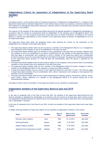# <span id="page-7-0"></span>**Independence Criteria for Assessment of Independence of the Supervisory Board members**

[C-53]

According to Annex 1 of the Austrian Code of Corporate Governance ("Guidelines for Independence"), a member of the Supervisory Board shall be deemed independent if said member does not have any business or personal relations with the Company or its Management Board that constitute a material conflict of interests and is therefore suited to influence the behavior of the member.

The majority of the members of the Supervisory Board elected by the general assembly or delegated by shareholders in accordance with the articles of incorporation shall be independent of the Company and its Management Board. The guidelines in Annex 1 of the Corporate Governance Code shall serve as further orientation. According to the criteria defined, it shall be the responsibility of every member of the Supervisory Board to declare its independence vis-à-vis the Supervisory Board.

The Supervisory Board shall follow the guidelines below when defining the criteria for the assessment of the independence of a member of the Supervisory Board:

- The Supervisory Board member shall not have served as a member of the Management Board or as a management level employee of the Company or one of its subsidiaries in the past five years.
- The Supervisory Board member shall not maintain or have maintained in the past year any business relations with the company or one of its subsidiaries to an extent of significance for the member of the Supervisory Board. This shall also apply to relationships with companies in which a member of the Supervisory Board has a considerable economic interest, but not for exercising functions in the bodies of the group. The approval of individual transactions by the Supervisory Board pursuant to L-Rule 48 does not automatically mean the person is qualified as not independent.
- The Supervisory Board member shall not have acted as auditor of the company or have owned a share in the auditing company or have worked there as an employee in the past three years.
- The Supervisory Board member shall not be a member of the Management Board of another company in which a member of the Management Board of the company is a Supervisory Board member.
- A Supervisory Board member may not remain on the Supervisory Board for more than 15 years. This shall not apply to Supervisory Board members who are shareholders with a direct investment in the company or who represent the interests of such a shareholder.
- The Supervisory Board member shall not be a closely related (direct offspring, spouses, life partners, parents, uncles, aunts, sisters, nieces, nephews) of a member of the Management Board or of persons having one of the aforementioned relations.

According to those criteria all members of the Supervisory Board can be classified as independent.

### <span id="page-7-1"></span>**Independent members of the Supervisory Board at year-end 2019**  $TC-54$ ]

In the case of companies with a free float of more than 20%, the members of the Supervisory Board elected by the General Assembly or delegated by shareholders in accordance with the articles of incorporation shall include at least one independent member pursuant to C-Rule 54 who is not a shareholder with a stake of more than 10% or who represents such a shareholder's interests.

In the case of companies with a free float of over 50%, at least two members of the supervisory board must meet these criteria.

In Addiko following members of Supervisory Board can be classified as independent members in this matter:

| <b>Name</b>                         | <b>Position</b> | Year of<br>birth | Date of first<br>appointment | End of the<br>mandate |
|-------------------------------------|-----------------|------------------|------------------------------|-----------------------|
| Hermann Josef Lamberti              | Chair           | 1956             | 01.12.2015                   | $0.6A$ 2022           |
| <b>Henning Giesecke</b>             | Deputy          | 1960             | 17.07.2015                   | $oGA$ 2022            |
| Dragica Pilipovic-Chaffey           | Member          | 1946             | 17.07.2015                   | $oGA$ 2022            |
| Sebastian Prinz Schoenaich-Carolath | Member          | 1957             | 06.06.2019                   | $oGA$ 2022            |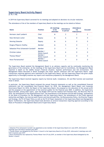### <span id="page-8-0"></span>**Supervisory Board Activity Report**

[C-36, C-58]

 $\ddot{\phantom{a}}$ 

In 2019 the Supervisory Board convened for six meetings and adopted six decisions via circular resolution.

The attendance of the of the members of Supervisory Board on the meetings can be stated as follows:

| <b>Name</b>                                      | <b>Position</b>                  | All meetings<br>to be<br>attended | Attendance<br>in person | Attendance<br>via<br>video/phone | <b>Excused</b> |
|--------------------------------------------------|----------------------------------|-----------------------------------|-------------------------|----------------------------------|----------------|
| Hermann Josef Lamberti                           | Chair                            | 6                                 |                         |                                  |                |
| Hans-Hermann Lotter                              | Deputy                           | 6                                 | 6                       | 0                                | 0              |
| <b>Henning Giesecke</b>                          | Deputy                           | 6                                 | 6                       | 0                                | 0              |
| Dragica Pilipovic-Chaffey                        | Member                           | 6                                 | 5                       | 0                                |                |
| Sebastian Prinz Schoenaich-Carolath <sup>1</sup> | Member                           | 3                                 |                         | 0                                | 2              |
| <b>Christian Lobner</b>                          | Member /<br><b>Works Council</b> | 6                                 | 6                       | 0                                | 0              |
| Thomas Wieser <sup>2</sup>                       | Member /<br><b>Works Council</b> | 2                                 | $\overline{2}$          | 0                                | 0              |
| Horst Floriantschitz <sup>3</sup>                | Member /<br><b>Works Council</b> | 4                                 | 4                       | 0                                | 0              |

The Supervisory Board assisted the Management Board in an advisory capacity and by continually monitoring the governance of the enterprise. At the meetings of the Supervisory Board and its Committees, the Management Board reported in depth on the Addiko Group's financial situation, business performance and risk environment. The Management Board discussed in detail strategies and major specific measures with the Supervisory Board. Legal transactions requiring approval were submitted to the Supervisory Board, and the Supervisory Board was given ample opportunity to thoroughly examine any reports and resolutions proposed by the Management Board.

The Supervisory Board received regularly reports by Internal Audit, Compliance, ICS and Risk function and examined those in detail.

In particular, the Supervisory Board reviewed the annual financial statements as well as the consolidated financial statements and the consolidated Non-Financial Report for 2018, the Management Board Report and Corporate Governance Report for 2018, the Report of the Supervisory Board, the proposal on the allocation of the annual profit and the proposal on the appointment of the external auditor for the financial year 2020. In addition, the Supervisory Board decided, among other topics, upon the Budget 2019 and the medium-term Business Plan, the Recovery Plan of 2019, the amendments of the Organizational Chart, the amendments of the Business and the Risk Strategy, amendments of the Rules of Procedure for the Management and the Supervisory Board, the amendments of the Credit Approval Authorities and Rights, the Internal Audit Charter and Internal Audit Plan, the Remuneration Policy, the Diversity Targets and Strategy, the Fit & Proper Policy as well as the Fit & Proper Assessment of the Supervisory Board and Management Board. Furthermore, the Supervisory Board took decisions on several transactions requiring approval according to the Rules of Procedure of Management Board and of Supervisory Board.

<sup>1</sup> Sebastian Prinz Schoenaich-Carolath was appointed as new member of the Supervisory Board on 6 June 2019, afterwards 3 meetings were still held in business year 2019

<sup>2</sup> Thomas Wieser was delegated by the Worker's Council to the Supervisory Board on 29 July 2019, afterwards 2 meetings were still held in business year 2019

<sup>3</sup> Horst Floriantschitz was replaced by Thomas Wieser from 29 July 2019, as member of the Supervisory Board delegated by the Worker's Council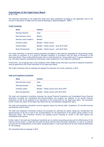### <span id="page-9-0"></span>**Committees of the Supervisory Board**

[C-34, C-39]

The following committees of the Supervisory Board have been established according to the applicable rules of the Articles of Association of Addiko and the Austrian Banking Act (Bankwesengesetz, "BWG").

#### **Credit Committee**

| <b>Name</b>             | <b>Position</b>                           |
|-------------------------|-------------------------------------------|
| <b>Henning Giesecke</b> | Chair                                     |
| Hans-Hermann Lotter     | Deputy                                    |
| Hermann Josef Lamberti  | Member                                    |
| <b>Christian Lobner</b> | Member / Works Council                    |
| <b>Thomas Wieser</b>    | Member / Works Council - since 29.07.2019 |
| Horst Floriantschitz    | Member / Works Council - until 29.07.2019 |

The Credit Committee is a decision-making committee and highest credit authority responsible for the granting of loans and credits to customers or to a group of affiliated customers in accordance with the Rules of Procedure of the Supervisory Board. Those credit authority levels refer to credit decisions for "Group of Borrowers" in group competence, e.g. with gross exposure exceeding the institutional credit competence of the respective subsidiaries.

Furthermore, any intragroup limit to any subsidiary within Addiko Group referring to any kind of exposure/investment must be approved by the Credit Committee of the Supervisory Board.

The Credit Committee held six meetings and adopted five decisions via circular resolution in 2019.

| <b>Name</b>             | Position                                |
|-------------------------|-----------------------------------------|
| Hans-Hermann Lotter     | Chair                                   |
| <b>Henning Giesecke</b> | Deputy                                  |
| Christian Lobner        | Member / Works Council since 29.07.2019 |
| Horst Floriantschitz    | Member / Works Council until 29.07.2019 |

#### **Audit and Compliance Committee**

The Audit and Compliance Committee examines the Annual Financial Statements and Consolidated Group Financial Statements including the consolidated Non-Financial-Report and prepares the adoption of the Annual Financial Statements as well as the proposal on the allocation of the annual profit by the Supervisory Board. The Committee further reviews the report of the Supervisory Board and the (consolidated) management report.

The Audit and Compliance Committee receives regularly reports by Internal Audit, Compliance, ICS and Risk function and examines those in detail.

The Audit and Compliance Committee conducts the procedure for selecting the auditor taking into consideration the appropriateness of the fee as well as the recommendations for the appointment of the auditor (group auditor) to the Supervisory Board. The Committee monitors the auditing process including its results in the audit opinion and consolidated audit opinion.

Further tasks of the Audit and Compliance Committee are to monitor accounting process and the effectiveness of the internal control system, to supervise and audit the group internal audit and group compliance, as well as to examine and supervise the independence of the auditor and group auditor, in particular about the services rendered additionally for the company.

The Committee held six meetings in 2019.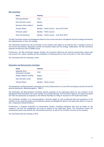#### **Risk Committee**

| <b>Name</b>             | Position                                  |
|-------------------------|-------------------------------------------|
| <b>Henning Giesecke</b> | Chair                                     |
| Hans-Hermann Lotter     | Deputy                                    |
| Hermann Josef Lamberti  | Member                                    |
| <b>Thomas Wieser</b>    | Member / Works Council - since 29.07.2019 |
| Christian Lobner        | Member / Works Council                    |
| Horst Floriantschitz    | Member / Works Council - until 29.07.2019 |

The Risk Committee advises the Management Board on the current and future risk appetite and risk strategy and monitors the implementation of that risk strategy.

The Committee examines the risk environment of the company with regard to all material risks. It assesses if prices of the services and products adequately consider the business model and risk strategy. Additionally, the Risk Committee endorses the Recovery Plan of Addiko Group.

Furthermore, the Risk Committee assesses whether the incentives offered by the internal remuneration system take into account risk, capital, liquidity and the probability of realizing profits as well as the point in time when realized.

The Committee held five meetings in 2019.

#### **Nomination and Remuneration Committee**

| <b>Name</b>                            | <b>Position</b>        |
|----------------------------------------|------------------------|
| Sebastian Prinz<br>Schoenaich-Carolath | Chair                  |
| Dragica Pilipovic-Chaffey              | Deputy                 |
| Hans-Hermann Lotter                    | Member                 |
| Thomas Wieser                          | Member / Works Council |

The Nomination and Remuneration Committee was newly implemented on 6 June 2019 according to sections 29 and 39c Austrian Banking Act (Bankwesengesetz, "BWG").

The Nomination and Remuneration Committee submits proposals to the Supervisory Board for new members of the Management Board and deals with issues relating to succession planning. The Committee supports the Supervisory Board also with the preparation of proposals to the General Assembly for filling of vacancies on the Supervisory Board.

The Committee considers in its recommendation's diversity targets as well as balanced skills and experience of the members of the corporate bodies and periodically assesses the Management Board's and Supervisory Board's structure, size, composition and performance.

Furthermore, it prepares resolutions on remuneration matters, including resolutions that have an impact on the company's risk and risk management and must be passed by the Supervisory Board. The Committee reviews the remuneration policy and monitors the remuneration practices as well as the incentive structure of the company.

The Committee held one meeting in 2019.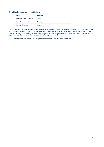#### **Committee for Management Board Matters**

| <b>Name</b>             | <b>Position</b> |
|-------------------------|-----------------|
| Hermann-Josef Lamberti  | Chair           |
| Hans-Hermann Lotter     | Deputy          |
| <b>Henning Giesecke</b> | Member          |

The Committee for Management Board Matters is a decision-making committee responsible for the exercise of representative rights pursuant to the Stock Corporation Act (Aktiengesetz, "AktG") and is required to advise on and manage the legal relationships between the company and the members of the Management Board except for the appointment and dismissal of the members of the Management Board.

The Committee held one meeting and adopted one decision via circular resolution in 2019.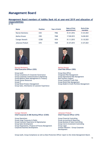# <span id="page-12-0"></span>**Management Board**

### <span id="page-12-1"></span>**Management Board members of Addiko Bank AG at year-end 2019 and allocation of responsibilities**

 $\overline{[C-16]}$ 

| <b>Name</b>           | <b>Position</b> | Year of birth | Date of first<br>appointment | End of the<br>mandate |
|-----------------------|-----------------|---------------|------------------------------|-----------------------|
| Razvan Munteanu       | CEO             | 1966          | 01.01.2016                   | 31.03.2021            |
| Markus Krause         | <b>CRO</b>      | 1968          | 17.08.2015                   | 16.08.2021            |
| <b>Csongor Nemeth</b> | <b>CCBO</b>     | 1974          | 01.11.2015                   | 31.10.2021            |
| Johannes Proksch      | CFO             | 1969          | 01.07.2015                   | 31.07.2021            |



**Razvan Munteanu Markus Krause Chief Executive Officer (CEO) Chief Risk Officer (CRO)**

Group Audit Group Data Office Group Compliance & Corporate Governance<br>
Group Corporate Communication & Marketing<br>
Group Operational Risk Management Group Corporate Communication & Marketing Group Operational Risk Group Operational Risk Group Operational Risk Group Operational Risk Group Operational Risk Group Operational Risk Group Operational Risk Group Operational R Group Balance Sheet Management & Treasury Group Human Resources and Group Corporate Credit Risk Group IT<br>Group Retail Product Management<br>Group Retail Product Management<br>Group Model & Credit Portfolio Group Sales, Distribution & Customer Experience



Group Model & Credit Portfolio Management



**Csongor Nemeth Johannes Proksch Chief Corporate & SME Banking Officer (CCBO) Chief Financial Officer (CFO)**

Group Operations<br>
Group Large Corporate & Public<br>
Group Accounting & Reporting Group Large Corporate & Public Corporate Group Accounting & Reporting<br>Group Customer Experience & Digitalisation Group Business & Sales Controlling Group Customer Experience & Digitalisation Group Sales Development Group Cost & Investment Controlling Group Organisation, Projects & Process Management Group Legal<br>Corporate Business Development Investor Rela



Investor Relation / Group Corporate Development

Group Audit, Group Compliance as well as Data Protection Officer report to the whole Management Board.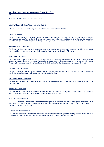### <span id="page-13-0"></span>**Members who left Management Board in 2019**

 $\overline{[C-16]}$ 

No member left the Management Board in 2019.

### <span id="page-13-1"></span>**Committees of the Management Board**

Following committees of the Management Board have been established in Addiko.

#### **Credit Committee**

The Credit Committee is a decision-making committee and approves all counterparty risks (including credits to associated companies of the Addiko Bank-network or problem loans) above the credit authority of the subsidiaries and/or above the delegated credit competence of single persons, except borrower with Watch Loan 2 or default (NPE) status.

#### **Distressed Asset Committee**

The Distressed Asset Committee is a decision-making committee and approves all counterparty risks for Group of Borrowers (GoB) or any borrower within GoB which has Watch Loan 2 or default (NPE) status.

#### **Board Audit Committee**

The Board Audit Committee is an advisory committee, which oversees the proper monitoring and supervision of regulatory topics and acts as a strategic platform for its participants to discuss operational risk on a group-wide level. Moreover, it provides an overview of significant audit deficiencies, legal and compliance issues as well as AML.

#### **Risk Executive Committee**

The Risk Executive Committee is an advisory committee in charge of ICAAP and risk bearing capacity, portfolio steering and limitation and other methodological and project-related topics.

#### **Asset and Liability Committee**

The Asset and Liability Committee is a decision-making committee and monitors the steering of interest-, liquidity, FXand equity risk.

#### **Outsourcing Committee**

The Outsourcing Committee is an advisory committee dealing with new and changed outsourcing request as defined in the Group Outsourcing Policy and monitoring Group Outsourced Activities.

#### **IT and Operations Committee**

The IT and Operations Committee is founded to decide upon all important matters in IT and Operations from a Group perspective. It monitors key IT and Operations projects and initiatives and ensures the operational functionality in IT and Operations across the Group.

#### **Cost and Investment Committee**

The Cost and Investment Committee is a decision-making committee in charge of monitoring the cost development in all entities of Addiko Group and deciding on procurement orders above a certain threshold.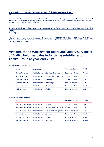#### <span id="page-14-0"></span>**Information on the working procedures of the Management Board**  $TC-16$ ]

In addition to the allocation of tasks and responsibilities within the Management Board, attachment 1 shows all transactions and measures exceeding the scope of section 95 (5) of the Austrian Stock Corporation Act and, therefore, requiring the approval of Supervisory Board.

## <span id="page-14-1"></span>**Supervisory Board Mandates and Comparable Functions in companies outside the Group**

 $[C-16, 26]$ 

Johannes Proksch is appointed as Management Board member of CLEDOMKO Privatstiftung, 1010 Vienna (FN 343079d). No other Management Board member holds any Supervisory Board mandate or performs any comparable function in a company outside the Group.

# <span id="page-14-2"></span>**Members of the Management Board and Supervisory Board of Addiko held mandates in following subsidiaries of Addiko Group at year-end 2019**

#### **Management Board Members**

| <b>Name</b>           | <b>Subsidiary</b>                        | <b>Corporate Body</b>     | <b>Position</b> |
|-----------------------|------------------------------------------|---------------------------|-----------------|
| Razvan Munteanu       | Addiko Bank d.d., Bosnia and Herzegovina | <b>Supervisory Board</b>  | Member          |
| Razvan Munteanu       | Addiko Bank a.d., Bosnia and Herzegovina | <b>Supervisory Board</b>  | Member          |
| Johannes Proksch      | Addiko Bank d.d., Slovenia               | Supervisory Board         | Chair           |
| Johannes Proksch      | Addiko Bank a.d., Montenegro             | <b>Board of Directors</b> | Chair           |
| <b>Csongor Nemeth</b> | Addiko Bank d.d., Croatia                | <b>Supervisory Board</b>  | Deputy          |
| Markus Krause         | Addiko Bank a.d., Serbia                 | <b>Board of Directors</b> | Chair           |

#### **Supervisory Board Members**

| Name                    | <b>Subsidiary</b>                        | <b>Corporate Body</b>     | <b>Position</b> |
|-------------------------|------------------------------------------|---------------------------|-----------------|
| Hans-Hermann Lotter     | Addiko Bank d.d., Croatia                | Supervisory Board         | Chair           |
| Hans-Hermann Lotter     | Addiko Bank a.d., Bosnia and Herzegovina | Supervisory Board         | Chair           |
| Hans-Hermann Lotter     | Addiko Bank d.d., Bosnia and Herzegovina | Supervisory Board         | Chair           |
| <b>Henning Giesecke</b> | Addiko Bank d.d., Slovenia               | Supervisory Board         | Deputy          |
| <b>Henning Giesecke</b> | Addiko Bank a.d., Serbia                 | <b>Board of Directors</b> | Deputy          |
| <b>Henning Giesecke</b> | Addiko Bank a.d., Montenegro             | <b>Board of Directors</b> | Deputy          |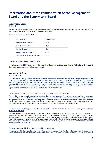# <span id="page-15-0"></span>**Information about the remuneration of the Management Board and the Supervisory Board**

### <span id="page-15-1"></span>**Supervisory Board**

[C-49, C-51]

For their activities as members of the Supervisory Board of Addiko during the reporting period, members of the Supervisory Board were entitled to the following remuneration:

Remuneration in financial year 2019

| In $\epsilon$ thousand              | <b>Remuneration</b> |
|-------------------------------------|---------------------|
| Hermann Josef Lamberti              | 65,0                |
| Hans-Hermann Lotter                 | 55.0                |
| <b>Henning Giesecke</b>             | 55,0                |
| Dragica Pilipovic-Chaffey           | 42.5                |
| Sebastian Prinz Schoenaich-Carolath | 31.6                |

#### Contracts with members of Supervisory Board

In the business year 2019 no member of the Supervisory Board was performing services for Addiko Bank AG outside of their activity as member of the Supervisory Board.

#### <span id="page-15-2"></span>**Management Board**

 $[C-28, C-30, C-31]$ 

The remuneration policy provides a framework of remuneration for all Addiko employees including Management Board members. The policy determines the principles of remuneration and rewards taking the European and Austrian legal framework into account. It aims to enable the Group to attract and retain employees and ensure achievement of company objectives, in line with its strategy, long term goals and risk management framework. It is designed to align the personal objectives of the Management Board members with the long-term interests of Addiko and to ensure an appropriate balance between fixed and variable remuneration components.

#### The methods according to which fulfilment of the performance criteria is determined:

The variable remuneration is determined based on the individual's success (in quantitative and qualitative terms) as well as on the success of the company. In deciding on any award of variable compensation to members of the Management Board, the Committee for Management Board matters considers performance criteria, the market situation and market trends, the appropriateness of bonus payments and risk trends. In case of termination of their function, entitlements and claims of members of the Management Board will be agreed on an individual basis.

#### The remuneration of Management Board members must be clearly defined in the contract of employment, with the following framework:

The remuneration of Management Board members is to be determined as a combination of fixed, performance-based variable pay and non-monetary remuneration, taking into consideration the reciprocity of value for employees and for the Group in line with the interests of shareholders. Fixed remuneration is based on the level of responsibility, which constitutes a relevant part of total pay. Variable annual remuneration linked to the achievement of previously defined individual target agreement and prudent risk management, which in any case should be lower than fixed remuneration for the respective business year.

#### The maximum thresholds determined for variable remuneration:

In accordance with the Group Remuneration Policy, current contracts of Addiko Bank AG Management Board members define the variable remuneration in the amounts below the fixed remuneration for the respective business year (Annual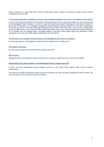bonus is defined in a range from 60% to 78% of annual base salary), without any material changes in bonus system compared to previous year.

#### The principles applicable to eligibility and claims of the Management Board in the event of termination of the function:

In case of premature termination by the Company without good cause or for a good cause which was not caused by fault of the Management Board member, as well as in case of a justified premature termination by the Board member for good cause attributable to the Company, Management Board members could be entitled to a one-time compensation for the loss of income for the then remaining time period until the end of the Fixed Term. Such one-time compensation cannot be higher than (i) nine times the gross monthly base salary plus (ii) pro-rated Christmas and vacation allowance for six months plus (iii) variable bonus, calculated based on the most recent target values and parameters (under assumption of no more than 100% target achievement) for nine months.

The principles of the company retirement plan for the Management Board and the conditions:

No retirement plan for the Management Board has been implemented in Addiko so far.

#### Stock Option Programme

No stock option program was implemented in business year 2019.

#### D&O Insurance

Management Board and Supervisory Board members are covered by a D&O insurance at the level of Addiko.

#### Remuneration of the active members of the Management Board in business year 2019

In 2019, the active Management Board members received in total TEUR 2.953, thereof TEUR 1.010 as variable remuneration.

The fixed and variable performance-linked annual remunerations of each individual management board member will not be disclosed in the Corporate Governance Report.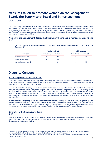# <span id="page-17-0"></span>**Measures taken to promote women on the Management Board, the Supervisory Board and in management positions**

The Addiko Group Diversity and Inclusion policy, aligned with EU directives, provides a structured process through which the bank defines diversity objectives and targets. The Supervisory Board, during the annual review of the composition of the Management Board and the self-assessment of the Supervisory Board, reviews the diversity strategy and targets set. These define voluntary measures and initiatives that promote women on the Supervisory Board, Management Board and in senior management positions.

#### <span id="page-17-1"></span>**Women in the Management Board, the Supervisory Board and in management positions**  $\overline{IC}$ -60]

**Figure 3 – Women in the Management Board, the Supervisory Board and in management positions as of 31 December 2019** 

|                                | <b>Addiko Bank AG</b> |                 |            | Addiko Group <sup>4</sup> |
|--------------------------------|-----------------------|-----------------|------------|---------------------------|
| <b>Function</b>                | Female no.            | <b>Female %</b> | Female no. | <b>Female %</b>           |
| Supervisory Board <sup>5</sup> |                       | 20%             |            | 25%                       |
| Management Board               |                       | 0%              | ь          | 22%                       |
| Senior Management (B-1)        |                       | 20%             | 69         | 53%                       |

# <span id="page-17-2"></span>**Diversity Concept**

### <span id="page-17-3"></span>**Promoting Diversity and Inclusion**

Addiko Bank actively promotes diversity by closely measuring and monitoring talent statistics and talent development. As part of building an inclusive workplace, the focus is upon establishing a framework to promote equality and equal opportunities for women and men in the bank.

The Bank launched its Diversity and Inclusion policy and initiatives in 2019 to increase the number of women in management positions. Three-year gender targets have been set for the Management Board and Supervisory Board representation to identify ready-now successors, both female and male, by year-end 2021. The Supervisory Board also reflects the wide aspects of diversity and inclusion reflected in the gender, age structure and nationality of its Supervisory Board members. All vacancies for senior and top managerial positions must also include equal gender representation.

Diversity and inclusion principles are embedded in the Bank's Group Diversity and Inclusion policy, supported by that corporate Values and Behaviors that are encouraged in the Bank. The objective is to strengthen the foundations and good practices of an inclusive work environment aiming to manage talent diversity, ensure financial equality, raise awareness, provide career opportunities and promote flexible working arrangements for our employees.

#### <span id="page-17-4"></span>**Diversity in the Supervisory Board**

 $TL-521$ 

 $\overline{a}$ 

Aspects of diversity that are taken into consideration in the ABG Supervisory Board are the representation of both genders, the age structure and (in case of listed companies) the internationality (citizenship) of its members in the Holding and across the subsidiaries.

<sup>4</sup> Including, in addition to Addiko Bank AG, its subsidiaries Addiko Bank d.d. Croatia, Addiko Bank d.d. Slovenia, Addiko Bank a.d. Serbia, Addiko Bank d.d. Sarajevo, Addiko Bank a.d. Banja Luka and Addiko Bank AD Montenegro

<sup>&</sup>lt;sup>5</sup> Excluding members of the works council in Addiko Bank AG since neither the shareholder nor the Supervisory Board have any influence on their selection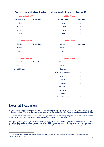| <b>Addiko Bank AG<sup>6</sup></b> |                   | <b>Addiko Group</b>  |                   |  |
|-----------------------------------|-------------------|----------------------|-------------------|--|
| <b>Age Structure</b>              | <b>SB members</b> | <b>Age Structure</b> | <b>SB members</b> |  |
| < 40 Y                            | 0                 | < 40 Y               | $2^{\circ}$       |  |
| $40 - 49$ Y                       | 0                 | $40 - 49$ Y          | 9                 |  |
| $50 - 60Y$                        | 2                 | $50 - 60Y$           |                   |  |
| $>60$ Y                           | 3                 | $>60$ Y              | 6                 |  |

#### **Figure 4 – Diversity in the Supervisory Boards of Addiko and Addiko Group as of 31 December 2019**

#### **Addiko Bank AG Addiko Group**

# **Gender SB members Gender SB members** female 1 and 1 female 6 female 6 female 6 female 6 female 6 female 6 female 6 female 6 female 6 female 6 female 6 female 6 female 6 female 6 female 6 female 6 female 6 female 6 female 6 female 6 female 6 female 6 female 6 male 18 and 18 and 18 and 18 and 18 and 18 and 18 and 18 and 18 and 18 and 18 and 18 and 18 and 18 and 18 and 1

#### **Addiko Bank AG Addiko Group**

| Citizenship           | <b>SB members</b> | Citizenship            | SB members      |
|-----------------------|-------------------|------------------------|-----------------|
| Germany               | $\overline{4}$    | Austria                | 1               |
| <b>United Kingdom</b> | 1                 | <b>Belgium</b>         | 1               |
|                       |                   | Bosnia and Herzegovina | 4               |
|                       |                   | Croatia                | 3               |
|                       |                   | Germany                | $5\phantom{.0}$ |
|                       |                   | Hungary                | 3               |
|                       |                   | Montenegro             | 1               |
|                       |                   | Romania                | 1               |
|                       |                   | Serbia                 | 3               |
|                       |                   | <b>United Kingdom</b>  | $\overline{2}$  |

# <span id="page-18-0"></span>**External Evaluation**

 $\overline{a}$ 

Deloitte Wirtschaftsprüfungs GmbH evaluated the implementation and compliance with the Code for the financial year 2019 except of Rule 77 to 83 of the Code, those rules were evaluated by CMS Reich-Rohrwig Hainz Rechtsanwälte GmbH.

The review was essentially carried out by using the questionnaire for evaluating compliance with the Code, published by the Austrian Working Group for Corporate Governance (version of January 2018).

After the evaluation, Deloitte Wirtschaftsprüfungs GmbH and CMS Reich-Rohrwig Hainz Rechtsanwälte GmbH were able to confirm that Addiko complied with the rules of the ÖCGK in financial year 2019- insofar as these were included in the Addiko declaration of conformity. Some rules were not applicable to Addiko during the evaluation period.

<sup>&</sup>lt;sup>6</sup> Excluding members of the works council in Addiko Bank AG since neither the shareholder nor the Supervisory Board have any influence on their selection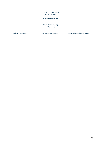Vienna, 04 March 2020 Addiko Bank AG

### MANAGEMENT BOARD

Razvan Munteanu m.p. (Chairman)

Markus Krause m.p. **Markus Krause m.p.** Johannes Proksch m.p. **C**songor Bulcsu Németh m.p.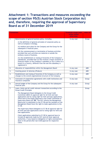# <span id="page-20-0"></span>**Attachment 1: Transactions and measures exceeding the scope of section 95(5) Austrian Stock Corporation Act and, therefore, requiring the approval of Supervisory Board as of 31 December 2019**

| <b>Transaction</b> |                                                                                                                                                                                                                                                                                                                                                                                                                                                                          | <b>Threshold (single basis</b><br>unless stated | refers to  |
|--------------------|--------------------------------------------------------------------------------------------------------------------------------------------------------------------------------------------------------------------------------------------------------------------------------------------------------------------------------------------------------------------------------------------------------------------------------------------------------------------------|-------------------------------------------------|------------|
|                    |                                                                                                                                                                                                                                                                                                                                                                                                                                                                          | otherwise)                                      |            |
| 1.                 | Determination of general business policy, including                                                                                                                                                                                                                                                                                                                                                                                                                      | in any case                                     | Group      |
|                    | (i) the definition of general principles of corporate policy as<br>well as Company's strategy,                                                                                                                                                                                                                                                                                                                                                                           |                                                 |            |
|                    | (ii) medium term plans for the Company and the Group for the<br>subsequent 5 financial years,                                                                                                                                                                                                                                                                                                                                                                            |                                                 |            |
|                    | (iii) the commencement or termination of business activities<br>provided that such activities are material or outside the<br>ordinary course of business,                                                                                                                                                                                                                                                                                                                |                                                 |            |
|                    | (iv) the establishment or closing of branches of the Company's<br>subsidiaries, provided that (a) this involves a major economic or<br>financial impact to the Company's subsidiary or (b) it refers to a<br>branch in a country, different from the one this subsidiary is<br>registered in                                                                                                                                                                             |                                                 |            |
| 2.                 | Allocation of responsibilities within the Management Board                                                                                                                                                                                                                                                                                                                                                                                                               | in any case                                     | <b>ABH</b> |
| 3.                 | Granting power of attorney (Prokura)                                                                                                                                                                                                                                                                                                                                                                                                                                     | in any case                                     | <b>ABH</b> |
| 4.                 | Establishment and closing of branches of the Company as well as<br>changes to the overall organizational structure of the Company                                                                                                                                                                                                                                                                                                                                        | in any case                                     | <b>ABH</b> |
| 5.                 | Conclusion of cooperation agreements with credit institutions and<br>insurance companies                                                                                                                                                                                                                                                                                                                                                                                 | in any case                                     | Group      |
| 6.                 | Annual budget of the Company and the Group for the subsequent<br>financial year.                                                                                                                                                                                                                                                                                                                                                                                         | in any case                                     | Group      |
| 7.                 | Loans, limits and all credit relevant transactions according to the<br><b>Group Credit Principles</b>                                                                                                                                                                                                                                                                                                                                                                    |                                                 | Group      |
|                    | The Management Board delegates to the Group Credit<br>Committee (GCC) its approval right for all limit and loan<br>applications and its voting right for limit and loan applications,<br>which have to be finally approved in the Credit Committee of<br>Supervisory Board (CC SB). The GCC informs the Management<br>Board prior to submission to the CC SB and the members of the<br>Management Board have the right to make applications to the<br>CC <sub>SB</sub> . |                                                 |            |
|                    | The Supervisory Board delegates to CC SB all approval right for<br>all limit and loan applications and its voting right for limit and<br>loan applications.                                                                                                                                                                                                                                                                                                              |                                                 |            |
|                    | Client applications submitted to CC SB for approval have to<br>include all approvals made by GCC (and all lower approval<br>authorities, if any) based on delegation of rights (exemptions),<br>done in the period after last CCSB approval for respective<br>client.                                                                                                                                                                                                    |                                                 |            |
|                    |                                                                                                                                                                                                                                                                                                                                                                                                                                                                          |                                                 |            |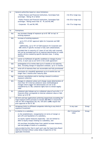| a)           | General authorities based on value limitations:                                                                                                                                                                                                                  |                                 |       |
|--------------|------------------------------------------------------------------------------------------------------------------------------------------------------------------------------------------------------------------------------------------------------------------|---------------------------------|-------|
|              | - Public Finance and Financial Institutions, Sovereigns/Sub-<br>sovereigns - Rating 1E or better                                                                                                                                                                 | $> \epsilon$ m 50 or large exp. |       |
|              | - Public Finance and Financial Institutions, Sovereigns/Sub-<br>sovereigns - Rating worse than 1E - PL and WL/NPL                                                                                                                                                | $> \epsilon$ m 30 or large exp. |       |
|              | - Corporate - PL and WL/NPL                                                                                                                                                                                                                                      | $> \epsilon$ m 15 or large exp. |       |
|              |                                                                                                                                                                                                                                                                  |                                 |       |
| b)           | Exemptions:                                                                                                                                                                                                                                                      |                                 |       |
| ba)          | any increase/change of exposure up to €t 100 "on top" of<br>existing exposure                                                                                                                                                                                    |                                 |       |
| bb)          | increase of existing exposure:                                                                                                                                                                                                                                   |                                 |       |
|              | - up to 10 % of GCC approval rights for Corporate and SME<br>clients,                                                                                                                                                                                            |                                 |       |
|              | - additionally, up to 10 % of GoB exposure for Corporate and<br>SME clients if specific increase is fully cash collateralized,                                                                                                                                   |                                 |       |
|              | provided that (i) maturity of 3 years (if not fully cash covered)<br>will not be exceeded and (ii) no material deterioration of credit<br>quality will be created by specific decision (max. 3 rating<br>notches)                                                |                                 |       |
| bc)          | waiver on fulfilment of specific conditions or change of price<br>terms, in each case as set forth in the credit agreement                                                                                                                                       |                                 |       |
| bd)          | prolongation of (i) review date up to 3 months or (ii) maturity<br>date, including change of repayment schedule, up to 12 months                                                                                                                                 |                                 |       |
| be)          | write off of interests/fees not recoverable and fully provisioned                                                                                                                                                                                                |                                 |       |
| bf)          | conclusion of a standstill agreement up to 6 months but not<br>longer than 3 months after maturity date                                                                                                                                                          |                                 |       |
| bg)          | contract cancellation and/or starting a lawsuit to enforce<br>exposure collection                                                                                                                                                                                |                                 |       |
| bh)          | changes in collateral unless such change causes deterioration of<br>more than 10 % internal collateral value (methodological<br>changes which trigger ICV deterioration are not to be<br>considered by CC SB); collateral rights have to remain legally<br>valid |                                 |       |
| bi)          | collateral sale/release up to a collateral value of up to €m 1, if<br>financial offset corresponds to internal collateral value or falls<br>below up to €t 50                                                                                                    |                                 |       |
| $\mathsf{C}$ | All limit and loan applications achieving respectively exceeding the<br>large exposure limits pursuant to section 28b BWG in conjunction<br>with Art 392 of Regulation (EC) No. 575/2013 (CRR) require the<br>prior approval of the CC SB.                       |                                 |       |
| 8.           | Intragroup limits to affiliated companies referring to any kind of<br>exposure/investment                                                                                                                                                                        | in any case                     | Group |
| 9.           | In relation to a subsidiary                                                                                                                                                                                                                                      | $\epsilon$ m 5 transaction      | Group |
|              | (i) the establishment, reorganisation (in terms of merger or<br>spin-off) and liquidation of a subsidiary,                                                                                                                                                       | value                           |       |
|              | (ii) equity capital measures (especially - but not limited to -<br>debt to equity swaps) relating to a subsidiary, and                                                                                                                                           |                                 |       |
|              | (iii) purchase (including those from capital increase measures),<br>sale and pledge of shares of a subsidiary                                                                                                                                                    |                                 |       |
|              | and provided further that in each such case the Supervisory Board<br>shall be informed without undue delay irrespective of the<br>applicable threshold.                                                                                                          |                                 |       |